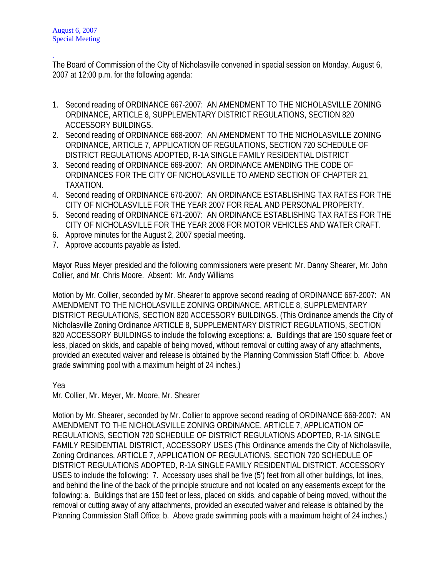. The Board of Commission of the City of Nicholasville convened in special session on Monday, August 6, 2007 at 12:00 p.m. for the following agenda:

- 1. Second reading of ORDINANCE 667-2007: AN AMENDMENT TO THE NICHOLASVILLE ZONING ORDINANCE, ARTICLE 8, SUPPLEMENTARY DISTRICT REGULATIONS, SECTION 820 ACCESSORY BUILDINGS.
- 2. Second reading of ORDINANCE 668-2007: AN AMENDMENT TO THE NICHOLASVILLE ZONING ORDINANCE, ARTICLE 7, APPLICATION OF REGULATIONS, SECTION 720 SCHEDULE OF DISTRICT REGULATIONS ADOPTED, R-1A SINGLE FAMILY RESIDENTIAL DISTRICT
- 3. Second reading of ORDINANCE 669-2007: AN ORDINANCE AMENDING THE CODE OF ORDINANCES FOR THE CITY OF NICHOLASVILLE TO AMEND SECTION OF CHAPTER 21, TAXATION.
- 4. Second reading of ORDINANCE 670-2007: AN ORDINANCE ESTABLISHING TAX RATES FOR THE CITY OF NICHOLASVILLE FOR THE YEAR 2007 FOR REAL AND PERSONAL PROPERTY.
- 5. Second reading of ORDINANCE 671-2007: AN ORDINANCE ESTABLISHING TAX RATES FOR THE CITY OF NICHOLASVILLE FOR THE YEAR 2008 FOR MOTOR VEHICLES AND WATER CRAFT.
- 6. Approve minutes for the August 2, 2007 special meeting.
- 7. Approve accounts payable as listed.

Mayor Russ Meyer presided and the following commissioners were present: Mr. Danny Shearer, Mr. John Collier, and Mr. Chris Moore. Absent: Mr. Andy Williams

Motion by Mr. Collier, seconded by Mr. Shearer to approve second reading of ORDINANCE 667-2007: AN AMENDMENT TO THE NICHOLASVILLE ZONING ORDINANCE, ARTICLE 8, SUPPLEMENTARY DISTRICT REGULATIONS, SECTION 820 ACCESSORY BUILDINGS. (This Ordinance amends the City of Nicholasville Zoning Ordinance ARTICLE 8, SUPPLEMENTARY DISTRICT REGULATIONS, SECTION 820 ACCESSORY BUILDINGS to include the following exceptions: a. Buildings that are 150 square feet or less, placed on skids, and capable of being moved, without removal or cutting away of any attachments, provided an executed waiver and release is obtained by the Planning Commission Staff Office: b. Above grade swimming pool with a maximum height of 24 inches.)

Yea

Mr. Collier, Mr. Meyer, Mr. Moore, Mr. Shearer

Motion by Mr. Shearer, seconded by Mr. Collier to approve second reading of ORDINANCE 668-2007: AN AMENDMENT TO THE NICHOLASVILLE ZONING ORDINANCE, ARTICLE 7, APPLICATION OF REGULATIONS, SECTION 720 SCHEDULE OF DISTRICT REGULATIONS ADOPTED, R-1A SINGLE FAMILY RESIDENTIAL DISTRICT, ACCESSORY USES (This Ordinance amends the City of Nicholasville, Zoning Ordinances, ARTICLE 7, APPLICATION OF REGULATIONS, SECTION 720 SCHEDULE OF DISTRICT REGULATIONS ADOPTED, R-1A SINGLE FAMILY RESIDENTIAL DISTRICT, ACCESSORY USES to include the following: 7. Accessory uses shall be five (5') feet from all other buildings, lot lines, and behind the line of the back of the principle structure and not located on any easements except for the following: a. Buildings that are 150 feet or less, placed on skids, and capable of being moved, without the removal or cutting away of any attachments, provided an executed waiver and release is obtained by the Planning Commission Staff Office; b. Above grade swimming pools with a maximum height of 24 inches.)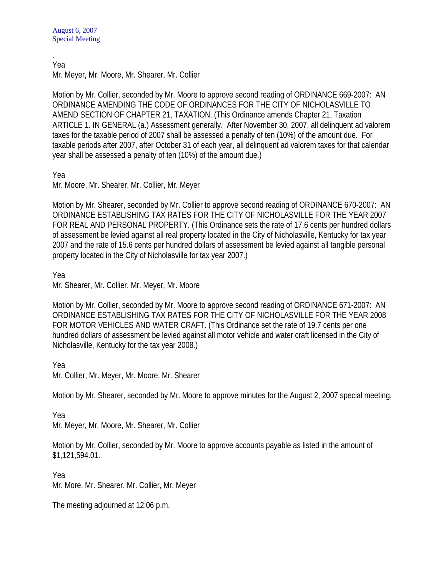. Yea

Mr. Meyer, Mr. Moore, Mr. Shearer, Mr. Collier

Motion by Mr. Collier, seconded by Mr. Moore to approve second reading of ORDINANCE 669-2007: AN ORDINANCE AMENDING THE CODE OF ORDINANCES FOR THE CITY OF NICHOLASVILLE TO AMEND SECTION OF CHAPTER 21, TAXATION. (This Ordinance amends Chapter 21, Taxation ARTICLE 1. IN GENERAL (a.) Assessment generally. After November 30, 2007, all delinquent ad valorem taxes for the taxable period of 2007 shall be assessed a penalty of ten (10%) of the amount due. For taxable periods after 2007, after October 31 of each year, all delinquent ad valorem taxes for that calendar year shall be assessed a penalty of ten (10%) of the amount due.)

Yea

Mr. Moore, Mr. Shearer, Mr. Collier, Mr. Meyer

Motion by Mr. Shearer, seconded by Mr. Collier to approve second reading of ORDINANCE 670-2007: AN ORDINANCE ESTABLISHING TAX RATES FOR THE CITY OF NICHOLASVILLE FOR THE YEAR 2007 FOR REAL AND PERSONAL PROPERTY. (This Ordinance sets the rate of 17.6 cents per hundred dollars of assessment be levied against all real property located in the City of Nicholasville, Kentucky for tax year 2007 and the rate of 15.6 cents per hundred dollars of assessment be levied against all tangible personal property located in the City of Nicholasville for tax year 2007.)

Yea

Mr. Shearer, Mr. Collier, Mr. Meyer, Mr. Moore

Motion by Mr. Collier, seconded by Mr. Moore to approve second reading of ORDINANCE 671-2007: AN ORDINANCE ESTABLISHING TAX RATES FOR THE CITY OF NICHOLASVILLE FOR THE YEAR 2008 FOR MOTOR VEHICLES AND WATER CRAFT. (This Ordinance set the rate of 19.7 cents per one hundred dollars of assessment be levied against all motor vehicle and water craft licensed in the City of Nicholasville, Kentucky for the tax year 2008.)

Yea

Mr. Collier, Mr. Meyer, Mr. Moore, Mr. Shearer

Motion by Mr. Shearer, seconded by Mr. Moore to approve minutes for the August 2, 2007 special meeting.

Yea

Mr. Meyer, Mr. Moore, Mr. Shearer, Mr. Collier

Motion by Mr. Collier, seconded by Mr. Moore to approve accounts payable as listed in the amount of \$1,121,594.01.

Yea Mr. More, Mr. Shearer, Mr. Collier, Mr. Meyer

The meeting adjourned at 12:06 p.m.